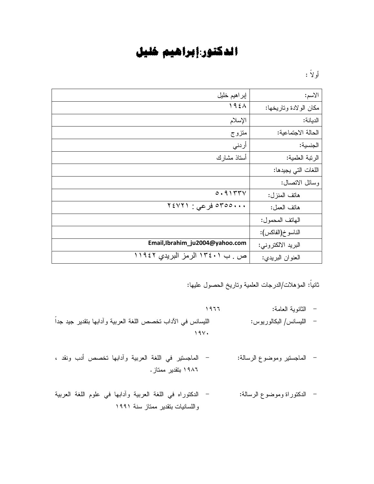## الدكتور:إبراهيم خليل

أو لا :

| إبر اهيم خليل                   | الاسم:                 |
|---------------------------------|------------------------|
| $195\lambda$                    | مكان الولادة وتاريخها: |
| الإسلام                         | الديانة:               |
| متزوج                           | الحالة الاجتماعية:     |
| أر نني                          | الجنسية:               |
| أستاذ مشارك                     | الرتبة العلمية:        |
|                                 | اللغات التي يجيدها:    |
|                                 | وسائل الاتصال:         |
| 0.9155V                         | هاتف المنزل:           |
| ۲٤٧٢١ : ورعي : ۲٤٧٢١            | هانف العمل:            |
|                                 | الهاتف المحمول:        |
|                                 | الناسو خ(الفاكس):      |
| Email,Ibrahim_ju2004@yahoo.com  | البريد الالكتروني:     |
| ص ـ ب ١٣٤٠١ الرمز البريدي ١١٩٤٢ | العنوان البريدي:       |

## ثانيا: المؤهلات/الدرجات العلمية وناريخ الحصول عليها:

- 9:;; : % 4 8
- الليسانس/ البكالوريوس: الليسانس/ البكالوريوس: الليسانس/ البكالوريوس:  $19Y.$
- الماجستير وموضوع الرسالة: الماجستير في اللغة العربية وأدابها تخصص أدب ونقد ، . ۱۹۸٦ بنقدیر ممتاز .
- الدكتوراة وموضوع الرسالة: الدكتوراه في اللغة العربية وأدابها في علوم اللغة العربية واللسانيات بتقدير ممتاز سنة ١٩٩١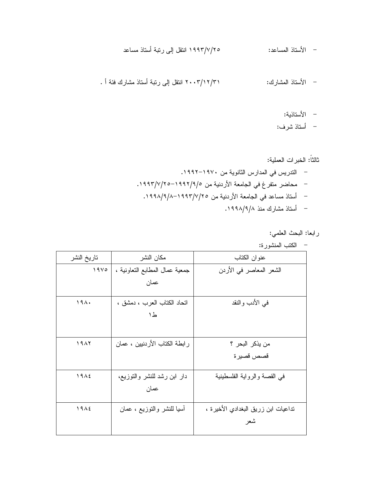- الأستاذية:
- أستاذ شرف:

رابعا: البحث العلمي:

|                  |                                | الكتب المنشورة:                     |
|------------------|--------------------------------|-------------------------------------|
| تاريخ النشر      | مكان النشر                     | عنوان الكتاب                        |
| 19V <sub>o</sub> | جمعية عمال المطابع النعاونية ، | الشعر المعاصر في الأردن             |
|                  | عمان                           |                                     |
| 191.             | اتحاد الكتاب العرب ، دمشق ،    | في الأدب والنقد                     |
|                  | ط١                             |                                     |
|                  |                                |                                     |
| 19AY             | ر ابطة الكتاب الأردنيين ، عمان | من يذكر البحر ؟                     |
|                  |                                | قصص قصيرة                           |
| 1912             | دار ابن رشد للنشر والنوزيع،    | في القصة والرواية الفلسطينية        |
|                  | عمان                           |                                     |
| 1912             | أسيا للنشر والنوزيع ، عمان     | تداعيات ابن زريق البغدادي الأخيرة ، |
|                  |                                | شعر                                 |
|                  |                                |                                     |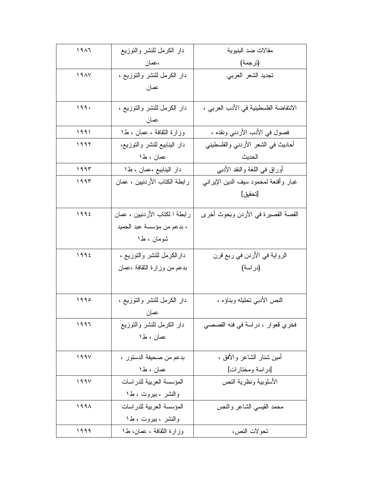| 1917 | دار الكرمل للنشر والتوزيع      | مقالات ضد البنيوية                     |  |
|------|--------------------------------|----------------------------------------|--|
|      | ،عمان                          | (ترجمة)                                |  |
| 19AY | دار الكرمل للنشر والنوزيع ،    | تجديد الشعر العربي                     |  |
|      | عمان                           |                                        |  |
|      |                                |                                        |  |
| 199. | دار الكرمل للنشر والنوزيع ،    | الانتفاضة الفلسطينية في الأدب العربي ، |  |
|      | عمان                           |                                        |  |
| 1991 | وزارة الثقافة ، عمان ، ط١      | فصول في الأدب الأردني ونقده ،          |  |
| ۱۹۹۲ | دار البنابيع للنشر والنوزيع،   | أحاديث في الشعر الأردنبي والفلسطينبي   |  |
|      | عمان ، ط1                      | الحديث                                 |  |
| 1995 | دار البنابيع ،عمان ، ط١        | أوراق في اللغة والنقد الأدببي          |  |
| ۱۹۹۳ | ر ابطة الكتاب الأردنيين ، عمان | غبار وأقنعة لمحمود سيف الدين الإيرانبي |  |
|      |                                | [تحقيق]                                |  |
|      |                                |                                        |  |
| 1992 | رابطة ا لكتاب الأردنيين ، عمان | القصة القصيرة في الأردن وبحوث أخرى     |  |
|      | ، بدعم من مؤسسة عبد الحميد     |                                        |  |
|      | شومان ، ط۱                     |                                        |  |
| ١٩٩٤ | دارالكرمل للنشر والتوزيع ،     | الرواية في الأردن في ربع قرن           |  |
|      | بدعم من وزارة النقافة ،عمان    | (در اسة)                               |  |
|      |                                |                                        |  |
|      |                                |                                        |  |
| 1990 | دار الكرمل للنشر والنوزيع ،    | النص الأدبي تحليله وبناؤه ،            |  |
|      | عمان                           |                                        |  |
| 1997 | دار الكرمل للنشر والتوزيع      | فخري قعوار ، دراسة في فنه القصصبي      |  |
|      | عمان ، ط۱                      |                                        |  |
|      |                                |                                        |  |
| 199V | بدعم من صحيفة الدستور ،        | أمين شنار الشاعر والأفق ،              |  |
|      | عمان ، ط۱                      | [دراسة ومختارات]                       |  |
| 199V | المؤسسة العربية للدراسات       | الأسلوبية ونظرية النص                  |  |
|      | والنشر ، بیروت ، ط۱            |                                        |  |
| ۱۹۹۸ | المؤسسة العربية للدراسات       | محمد القيسى الشاعر والنص               |  |
|      | والنشر ، بیروت ، ط۱            |                                        |  |
| 1999 | وزارة الثقافة ، عمان، ط١       | تحو لات النص،                          |  |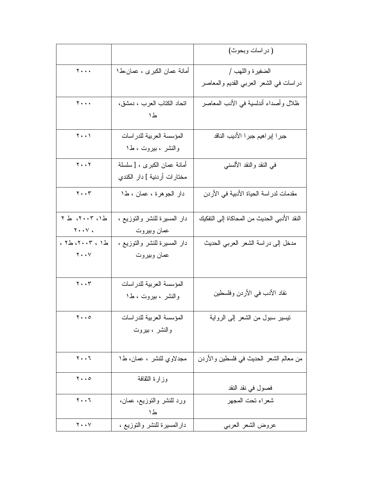|                                         |                                 | ( در اسات وبحوث)                            |  |
|-----------------------------------------|---------------------------------|---------------------------------------------|--|
| $\mathbf{Y} \cdot \cdot \cdot$          | أمانـة عمـان الكبر ى ، عمـان،ط1 | الضفيرة واللهب /                            |  |
|                                         |                                 | دراسات في الشعر العربي القديم والمعاصر      |  |
| $\mathbf{y}$                            | اتحاد الكتاب العرب ، دمشق،      | ظلال وأصداء أندلسية في الأدب المعاصر        |  |
|                                         | ط١                              |                                             |  |
| $\mathbf{Y} \cdot \cdot \mathbf{Y}$     | المؤسسة العربية للدراسات        | جبرا إبراهيم جبرا الأديب الناقد             |  |
|                                         | والنشر ، بیروت ، ط۱             |                                             |  |
| $Y \cdot Y$                             | أمانة عمان الكبرى ، [ سلسلة     | في النقد والنقد الألسنـي                    |  |
|                                         | مختار ات أر دنية ] دار  الكندي  |                                             |  |
| $\mathbf{y} \cdot \mathbf{y}$           | دار الجوهرة ، عمان ، ط١         | مقدمات لدر اسة الحياة الأدبية في الأردن     |  |
|                                         | دار المسيرة للنشر والتوزيع ،    | النقد الأدبي الحديث من المحاكاة إلى النفكيك |  |
| $Y \cdot Y$                             | عمان وبيروت                     |                                             |  |
| ط ١، ٢٠٠٣، ط٢،                          | دار المسيرة للنشر والنوزيع ،    | مدخل إلى در اسة الشعر العربي الحديث         |  |
| $\mathbf{Y} \bullet \bullet \mathbf{V}$ | عمان وبيروت                     |                                             |  |
| $\mathbf{y} \cdot \mathbf{y}$           | المؤسسة العربية للدراسات        |                                             |  |
|                                         | والنشر ، بیروت ، ط۱             | نقاد الأدب في الأردن وفلسطين                |  |
|                                         | المؤسسة العربية للدراسات        | نيسير سبول من الشعر إلىي الرواية            |  |
|                                         | والنشر ، بيروت                  |                                             |  |
|                                         |                                 |                                             |  |
| $Y \cdot \cdot 7$                       | مجدلاوي للنشر ، عمان، ط١        | من معالم الشعر الحديث في فلسطين والأردن     |  |
| $\mathbf{y} \cdot \mathbf{0}$           | وزارة النقافة                   | فصول في نقد النقد                           |  |
| $Y \cdot \cdot 7$                       | ورد للنشر والنوزيع، عمان،       | شعراء تحت المجهر                            |  |
|                                         | ط١                              |                                             |  |
|                                         |                                 |                                             |  |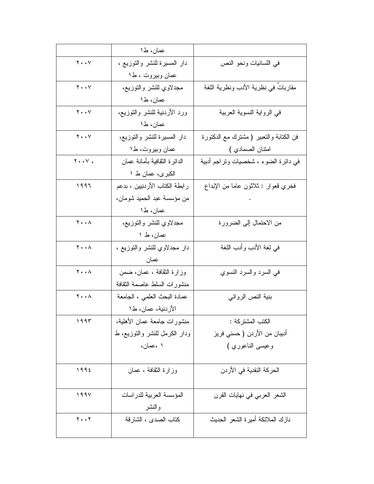|                                     | عمان، ط1                       |                                         |  |
|-------------------------------------|--------------------------------|-----------------------------------------|--|
| $Y \cdot Y$                         | دار المسيرة للنشر والنوزيع ،   | في اللسانيات ونحو النص                  |  |
|                                     | عمان وبيروت ، ط١               |                                         |  |
| $Y \cdot Y$                         | مجدلاوي للنشر والتوزيع،        | مقاربات في نظرية الأدب ونظرية اللغة     |  |
|                                     | عمان، ط1                       |                                         |  |
| $Y \cdot Y$                         | ورد الأردنية للنشر والتوزيع،   | في الرواية النسوية العربية              |  |
|                                     | عمان، ط1                       |                                         |  |
| $Y \cdot Y$                         | دار المسبرة للنشر والنوزيع،    | فن الكتابة والتعبير ( مشترك مع الدكتورة |  |
|                                     | عمان وبيروت، ط١                | امتتان الصمادي )                        |  |
| $Y \cdot Y$                         | الدائرة الثقافية بأمانة عمان   | في دائرة الضوء ، شخصيات وتراجم أدبية    |  |
|                                     | الكبرى، عمان ط ١               |                                         |  |
| 1997                                | ر ابطة الكتاب الأردنيين ، بدعم | فخري قعوار : ثلاثون عاما من الإبداع     |  |
|                                     | من مؤسسة عبد الحميد شومان،     |                                         |  |
|                                     | عمان، ط1                       |                                         |  |
| ۲.۰۸                                | مجدلاوي للنشر والتوزيع،        | من الاحتمال إلى الضرورة                 |  |
|                                     | عمان، ط ۱                      |                                         |  |
| $\mathbf{Y} \cdot \cdot \mathbf{A}$ | دار مجدلاوي للنشر والنوزيع ،   | في لغة الأدب وأدب اللغة                 |  |
|                                     | عمان                           |                                         |  |
| <b>Y</b> $\wedge$                   | وزارة الثقافة ، عمان، ضمن      | في السرد والسرد النسوي                  |  |
|                                     | منشورات السلط عاصمة الثقافة    |                                         |  |
| $Y \cdot \cdot \wedge$              | عمادة البحث العلمي ، الجامعة   | بنية النص الروائبي                      |  |
|                                     | الأردنية، عمان، ط1             |                                         |  |
| 1995                                | منشورات جامعة عمان الأهلية،    | الكتب المشتركة :                        |  |
|                                     | ودار الكرمل للنشر والنوزيع، ط  | أديبان من الأردن ( حسني فريز            |  |
|                                     | ۱ ،عمان،                       | وعيسى الناعوري )                        |  |
|                                     |                                |                                         |  |
| ١٩٩٤                                | وزارة الثقافة ، عمان           | الحركة النقدية في الأردن                |  |
|                                     |                                |                                         |  |
| 199V                                | المؤسسة العربية للدراسات       | الشعر العربي في نهايات القرن            |  |
|                                     | والنشر                         |                                         |  |
| $Y \cdot Y$                         | كتاب الصدى ، الشارقة           | نازك الملائكة أميرة الشعر الحديث        |  |
|                                     |                                |                                         |  |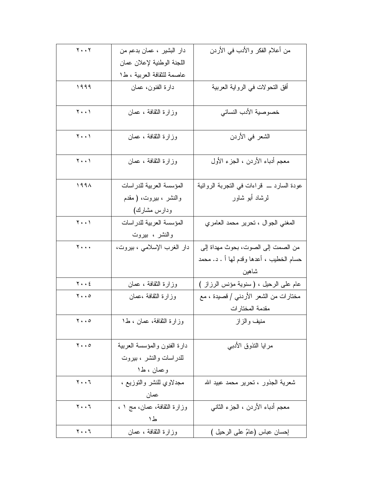| $Y \cdot Y$                         | دار البشير ، عمان بدعم من    | من أعلام الفكر والأدب في الأردن                |  |
|-------------------------------------|------------------------------|------------------------------------------------|--|
|                                     | اللجنة الوطنية لإعلان عمان   |                                                |  |
|                                     | عاصمة للثقافة العربية ، ط١   |                                                |  |
| 1999                                | دارة الفنون، عمان            | أفق النحولات في الرواية العربية                |  |
|                                     |                              |                                                |  |
| $\mathbf{Y} \cdot \cdot \mathbf{Y}$ | وزارة الثقافة ، عمان         | خصوصية الأدب النسائي                           |  |
|                                     |                              |                                                |  |
| $\mathbf{Y} \cdot \cdot \mathbf{Y}$ | وزارة الثقافة ، عمان         | الشعر في الأردن                                |  |
|                                     |                              |                                                |  |
| $\mathbf{Y} \cdot \cdot \mathbf{Y}$ | وزارة الثقافة ، عمان         | معجم أدباء الأردن ، الجزء الأول                |  |
|                                     |                              |                                                |  |
| 199 <sub>A</sub>                    | المؤسسة العربية للدراسات     | عودة السارد ــــ قراءات فـى النـجربـة الروائية |  |
|                                     | والنشر ، بيروت، ( مقدم       | لرشاد أبو شاور                                 |  |
|                                     | ودارس مشارك)                 |                                                |  |
| $\mathbf{Y} \cdot \cdot \mathbf{Y}$ | المؤسسة العربية للدراسات     | المغنى الجوال ، نحرير محمد العامري             |  |
|                                     | والنشر ، بیروت               |                                                |  |
|                                     |                              | من الصمت إلى الصوت، بحوث مهداة إلى             |  |
| Y                                   | دار الغرب الإسلامي ، بيروت،  |                                                |  |
|                                     |                              | حسام الخطيب ، أعدها وقدم لها أ . د. محمد       |  |
|                                     |                              | شاهين                                          |  |
| $Y \cdot \cdot \xi$                 | وزارة الثقافة ، عمان         | عام على الرحيل ، ( سنوية مؤنس الرزاز )         |  |
| $\mathbf{y} \cdot \mathbf{0}$       | وزارة النقافة ،عمان          | مختارات من الشعر الأردني / قصيدة ، مع          |  |
|                                     |                              | مقدمة المختار ات                               |  |
| $\mathbf{y} \cdot \mathbf{z}$       | وزارة الثقافة، عمان ، ط١     | منيف والزاز                                    |  |
|                                     |                              |                                                |  |
| $\mathbf{y} \cdot \mathbf{0}$       | دارة الفنون والمؤسسة العربية | مرابا النذوق الأدببي                           |  |
|                                     | للدراسات والنشر ، بيروت      |                                                |  |
|                                     | وعمان ، ط۱                   |                                                |  |
| $Y \cdot \cdot 7$                   | مجدلاوي للنشر والنوزيع ،     | شعرية الجذور ، تحرير محمد عبيد الله            |  |
|                                     | عمان                         |                                                |  |
| $Y \cdot \cdot 7$                   | وزارة النقافة، عمان، مج ١ ،  | معجم أدباء الأردن ، الجزء الثانبي              |  |
|                                     | ط۱                           |                                                |  |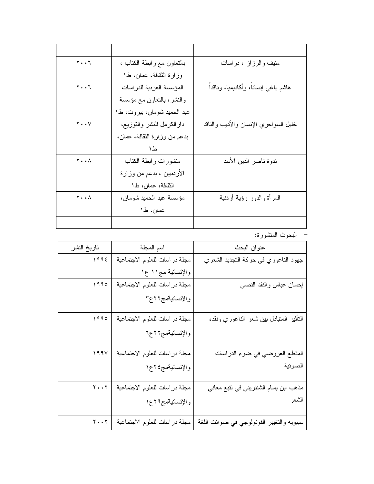| $\mathbf{y} \cdot \mathbf{y}$ | بالنعاون مع رابطة الكناب ،   | منیف والرزاز ، دراسات                 |  |
|-------------------------------|------------------------------|---------------------------------------|--|
|                               | وزارة الثقافة، عمان، ط١      |                                       |  |
| $\mathbf{y} \cdot \mathbf{y}$ | المؤسسة العربية للدراسات     | هاشم باغى إنسانا، وأكاديميا، وناقداً  |  |
|                               | والنشر، بالنعاون مع مؤسسة    |                                       |  |
|                               | عبد الحمید شومان، بیروت، ط۱  |                                       |  |
| $\mathbf{y} \cdot \mathbf{y}$ | دارالكرمل للنشر والنوزيع،    | خليل السواحري الإنسان والأديب والناقد |  |
|                               | بدعم من وزارة النقافة، عمان، |                                       |  |
|                               | ط١                           |                                       |  |
| $Y \cdot \cdot \wedge$        | منشورات رابطة الكتاب         | ندوة ناصر الدين الأسد                 |  |
|                               | الأردنيين ، بدعم من وزارة    |                                       |  |
|                               | الثقافة، عمان، ط١            |                                       |  |
| <b>Y</b> $\wedge$             | مؤسسة عبد الحميد شومان،      | المرأة والدور رؤية أردنية             |  |
|                               | عمان، ط١                     |                                       |  |
|                               |                              |                                       |  |

– البحوث المنشورة:

| عنوان البحث                               | اسم المجلة                    | تاريخ النشر |  |
|-------------------------------------------|-------------------------------|-------------|--|
| جهود الناعوري في حركة التجديد الشعري      | مجلة دراسات للعلوم الاجتماعية | 1995        |  |
|                                           | والإنسانية مج١١ ع١            |             |  |
| إحسان عباس والنقد النصبي                  | مجلة دراسات للعلوم الاجتماعية | 1990        |  |
|                                           | والإنسانيةمج٢٢ع٣              |             |  |
|                                           |                               |             |  |
| التأثير المنبادل ببين شعر الناعوري ونقده  | مجلة دراسات للعلوم الاجتماعية | 1990        |  |
|                                           | والإنسانيةمج٢٢ع٦              |             |  |
|                                           |                               |             |  |
| المقطع العروضي في ضوء الدراسات            | مجلة دراسات للعلوم الاجتماعية | 199V        |  |
| الصونية                                   | والإنسانيةمج، ٢٤ع١            |             |  |
|                                           |                               |             |  |
| مذهب ابن بسام الشنتريني في تتبع معاني     | مجلة دراسات للعلوم الاجتماعية | $Y \cdot Y$ |  |
| الشعر                                     | والإنسانيةمج٢٩ع١              |             |  |
|                                           |                               |             |  |
| سيبويه والتغيير الفونولوجي في صوائت اللغة | مجلة دراسات للعلوم الاجتماعية | $Y \cdot Y$ |  |
|                                           |                               |             |  |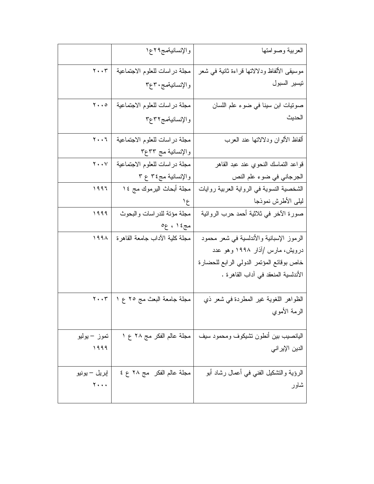|                                         | والإنسانيةمج٢٩ع١                  | العربية وصوامتها                            |
|-----------------------------------------|-----------------------------------|---------------------------------------------|
| $\mathbf{Y} \cdot \mathbf{Y}$           | مجلة دراسات للعلوم الاجتماعية     | موسيقى الألفاظ ودلالاتها قراءة ثانية في شعر |
|                                         | والإنسانيةمج ٣٠ع٣                 | نيسير السبول                                |
| $\mathbf{y} \cdot \cdot \mathbf{0}$     | مجلة دراسات للعلوم الاجتماعية     | صونيات ابن سينا في ضوء علم اللسان           |
|                                         | والإنسانيةمج٢٢ع٣                  | الحديث                                      |
| $Y \cdot \cdot 7$                       | مجلة دراسات للعلوم الاجتماعية     | ألفاظ الألوان ودلالاتها عند العرب           |
|                                         | والإنسانية مج ٣٣ع٣                |                                             |
| $\mathbf{Y} \bullet \bullet \mathbf{V}$ | مجلة دراسات للعلوم الاجتماعية     | قواعد التماسك النحوي عند عبد القاهر         |
|                                         | والإنسانية مج٤٣ ع ٣               | الجرجاني في ضوء علم النص                    |
| 1997                                    | مجلة أبحاث اليرموك مج ١٤          | الشخصية النسوية في الرواية العربية روايات   |
|                                         | $\mathcal{E}$                     | ليلي الأطرش نموذجا                          |
| 1999                                    | مجلة مؤنة للدراسات والبحوث        | صورة الأخر في ثلاثية أحمد حرب الروائية      |
|                                         | مج٤ ١ ، ع٥                        |                                             |
| 1991                                    | مجلة كلية الأداب جامعة القاهرة    | الرموز الإسبانية والأندلسية في شعر محمود    |
|                                         |                                   | درویش، مارس /أذار ۱۹۹۸ وهو عدد              |
|                                         |                                   | خاص بوقائع المؤنمر الدولي الرابع للحضارة    |
|                                         |                                   | الأندلسية المنعقد في آداب القاهرة .         |
|                                         | مجلة جامعة البعث مج ٢٥ ع ١   ٢٠٠٣ | الظواهر اللغوية غير المطردة في شعر ذي       |
|                                         |                                   | الرمة الأموي                                |
| تموز – يوليو                            | مجلة عالم الفكر مج ٢٨ ع ١         | اليانصبيب ببين أنطون نشيكوف ومحمود سيف      |
| 1999                                    |                                   | الدين الإيراني                              |
|                                         |                                   |                                             |
| إبريل – يونيو                           | مجلة عالم الفكر مج ٢٨ ع ٤         | الرؤية والنشكيل الفني في أعمال رشاد أبو     |
| $\mathbf{y} \cdot \cdot \cdot$          |                                   | شاور                                        |
|                                         |                                   |                                             |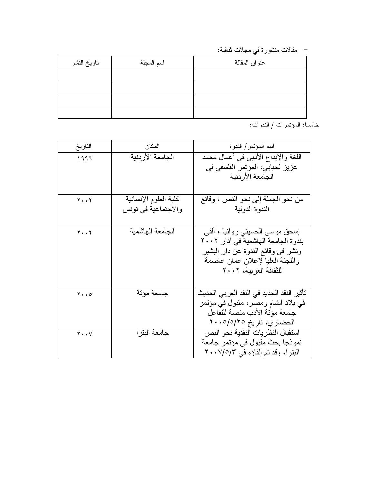– مقالات منشورة في مجلات ثقافية:

| تاريخ النشر | اسم المجلة | عنوان المقالة |  |  |
|-------------|------------|---------------|--|--|
|             |            |               |  |  |
|             |            |               |  |  |
|             |            |               |  |  |
|             |            |               |  |  |

خامسا: المؤتمرات / الندوات:

| التاريخ                       | المكان                | اسم المؤتمر/ الندوة                       |
|-------------------------------|-----------------------|-------------------------------------------|
| 1997                          | الجامعة الأردنية      | اللغة والإبداع الأدبي في أعمال محمد       |
|                               |                       | عزيز لحبابي، المؤتمر الفلسفي في           |
|                               |                       | الجامعة الأردنية                          |
|                               |                       |                                           |
| $Y \cdot Y$                   | كلية العلوم الإنسانية | من نحو الجملة إلى نحو النص ، وقائع        |
|                               | والاجتماعية في تونس   | الندوة الدولية                            |
|                               |                       |                                           |
| $Y \cdot Y$                   | الجامعة الهاشمية      | إسحق موسى الحسيني روائياً ، القي          |
|                               |                       | بندوة الجامعة الهاشمية في أذار ٢٠٠٢       |
|                               |                       | ونشر في وقائع الندوة عن دار البشير        |
|                               |                       | واللجنة العليا لإعلان عمان عاصمة          |
|                               |                       | للثقافة العربية، ٢٠٠٢                     |
|                               |                       |                                           |
| $\mathbf{y} \cdot \mathbf{0}$ | جامعة مؤتة            | تأثير النقد الجديد في النقد العربي الحديث |
|                               |                       | في بلاد الشام ومصر ، مقبول في مؤتمر       |
|                               |                       | جامعة مؤتة الأدب منصبة للتفاعل            |
|                               |                       | الحضاري، تاريخ ٢٠٠٥/٥/٢٠٠                 |
| $Y \cdot Y$                   | جامعة البترا          | استقبال النظر يات النقدية نحو النص        |
|                               |                       | نموذجا بحث مقبول في مؤتمر جامعة           |
|                               |                       | البتر ا، وقد تم إلقاؤه في ٢٠٠٧/٥/٣        |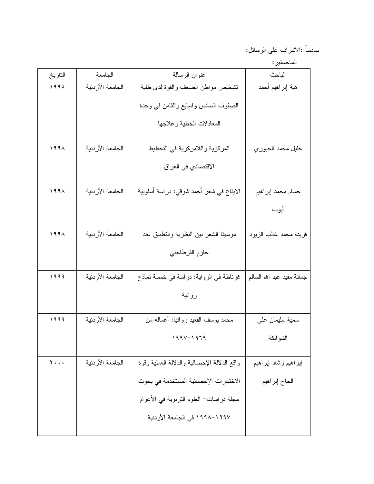سادساً :الاشراف على الرسائل:

|  | الماحستير |  |
|--|-----------|--|
|  |           |  |

| التاريخ | الجامعة          | عنوان الرسالة                                | الباحث                     |
|---------|------------------|----------------------------------------------|----------------------------|
| 1990    | الجامعة الأردنية | نشخيص مواطن الضعف والقوة لدى طلبة            | هبة إبراهيم أحمد           |
|         |                  | الصفوف السادس واسابع والثامن في وحدة         |                            |
|         |                  | المعادلات الخطية وعلاجها                     |                            |
| 199A    | الجامعة الأردنية | المركزية واللامركزية في التخطيط              | خليل محمد الجبوري          |
|         |                  | الاقتصادي في العراق                          |                            |
| 199A    | الجامعة الأردنية | الايقاع في شعر أحمد شوقي: دراسة أسلوبية      | حسام محمد إبراهيم          |
|         |                  |                                              | أيوب                       |
| 199A    | الجامعة الأردنية | موسيقا الشعر ببين النظرية والنطبيق عند       | فريدة محمد غالب الزيود     |
|         |                  | حازم القرطاجني                               |                            |
| 1999    | الجامعة الأردنية | غرناطة في الرواية: دراسة في خمسة نماذج       | جمانة مفيد عبد الله السالم |
|         |                  | روائية                                       |                            |
| 1999    | الجامعة الأردنية | محمد بوسف القعيد روائيا: أعماله من           | سمية سليمان على            |
|         |                  | $199Y - 1979$                                | الشوابكة                   |
| 7       | الجامعة الأردنية | واقع الدلالة الإحصائية والدلالة العملية وقوة | إبراهيم رشاد إبراهيم       |
|         |                  | الاختبار ات الإحصائية المستخدمة في بحوث      | الحاج إبراهيم              |
|         |                  | مجلَّة دراسات− العلوم النَّزبوية في الأعوام  |                            |
|         |                  | ١٩٩٧–١٩٩٨ في الجامعة الأردنية                |                            |
|         |                  |                                              |                            |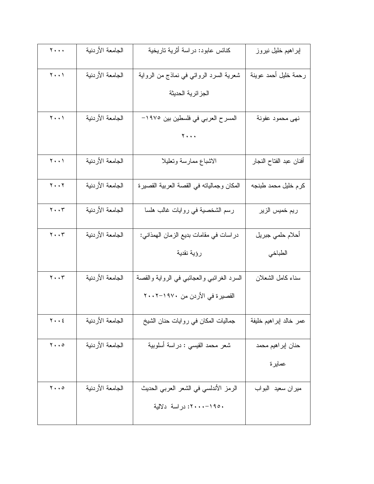| $\mathbf{y}$                        | الجامعة الأردنية | كنائس عابود: دراسة أثرية تاريخية           | إبراهيم خليل نيروز      |
|-------------------------------------|------------------|--------------------------------------------|-------------------------|
| $\mathbf{Y} \cdot \cdot \mathbf{Y}$ | الجامعة الأردنية | شعرية السرد الروائي في نماذج من الرواية    | رحمة خليل أحمد عوينة    |
|                                     |                  | الجز ائرية الحديثة                         |                         |
| $\mathbf{Y} \cdot \cdot \mathbf{Y}$ | الجامعة الأردنية | المسرح العربي في فلسطين بين ١٩٧٥-          | نهي محمود عفونة         |
|                                     |                  | $Y \cdot \cdot \cdot$                      |                         |
| $\mathbf{Y} \cdot \cdot \mathbf{Y}$ | الجامعة الأردنية | الاشباع ممارسة وتعليلا                     | أفنان عبد الفتاح النجار |
| $\mathbf{y} \cdot \cdot \mathbf{y}$ | الجامعة الأردنية | المكان وجمالياته في القصة العربية القصيرة  | كرم خليل محمد طبنجه     |
| $\mathbf{y} \cdot \cdot \mathbf{r}$ | الجامعة الأردنية | رسم الشخصية في روايات غالب هلسا            | ريم خميس الزير          |
| $\mathbf{y} \cdot \mathbf{y}$       | الجامعة الأردنية | در اسات في مقامات بديع الزمان الهمذاني:    | أحلام حلمي جبريل        |
|                                     |                  | رؤية نقدية                                 | الطباخي                 |
| $\mathbf{y} \cdot \mathbf{y}$       | الجامعة الأردنية | السرد الغرائبي والعجائبي في الرواية والقصة | سناء كامل الشعلان       |
|                                     |                  | القصير ة في الأردن من ١٩٧٠–٢٠٠٢            |                         |
| $Y \cdot \cdot 2$                   | الجامعة الأردنية | جماليات المكان في روايات حنان الشيخ        | عمر خالد إبراهيم خليفة  |
| $y \cdot \cdot \circ$               | الجامعة الأردنية | شعر محمد القيسي : دراسة أسلوبية            | حنان إبراهيم محمد       |
|                                     |                  |                                            | عمايرة                  |
| $\mathbf{y} \cdot \mathbf{0}$       | الجامعة الأردنية | الرمز الأندلسي في الشعر العربي الحديث      | ميران سعيد البواب       |
|                                     |                  | ١٩٥٠–٢٠٠٠: دراسة  دلالية                   |                         |
|                                     |                  |                                            |                         |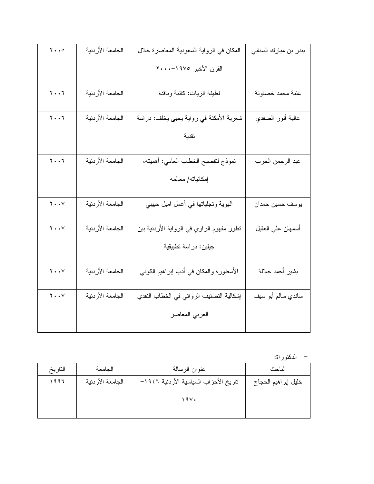| $\mathbf{y} \cdot \mathbf{0}$       | الجامعة الأردنية | المكان في الرواية السعودية المعاصرة خلال  | بندر بن مبارك السنابي |
|-------------------------------------|------------------|-------------------------------------------|-----------------------|
|                                     |                  | القرن الأخير ١٩٧٥-٢٠٠٠                    |                       |
|                                     |                  |                                           |                       |
| $\mathbf{y} \cdot \mathbf{y}$       | الجامعة الأردنية | لطيفة الزيات: كاننبة وناقدة               | عتبة محمد خصاونة      |
|                                     |                  |                                           |                       |
| $\mathbf{y} \cdot \mathbf{y}$       | الجامعة الأردنية | شعرية الأمكنة في رواية يحيى يخلف: دراسة   | عالية أنور الصفدي     |
|                                     |                  | نقدية                                     |                       |
|                                     |                  |                                           |                       |
| $\mathbf{y} \cdot \mathbf{y}$       | الجامعة الأردنية | نموذج لنفصيح الخطاب العامي: أهميته،       | عبد الرحمن الحرب      |
|                                     |                  | إمكانياته/ معالمه                         |                       |
|                                     |                  |                                           |                       |
| $\mathbf{y} \cdot \cdot \mathbf{y}$ | الجامعة الأردنية | الـهويـة وتـجلياتـها فـي أعمل اميل حبيبـي | يوسف حسين حمدان       |
|                                     |                  |                                           |                       |
| $\mathbf{y} \cdot \cdot \mathbf{y}$ | الجامعة الأردنية | نطور مفهوم الراوي في الرواية الأردنية بين | أسمهان عليي العقيل    |
|                                     |                  | جيلين: در اسة تطبيقية                     |                       |
|                                     |                  |                                           |                       |
| $\mathbf{Y} \cdot \cdot \mathbf{Y}$ | الجامعة الأردنية | الأسطورة والمكان في أدب إبراهيم الكوني    | بشير أحمد جلالة       |
|                                     |                  |                                           |                       |
| $\mathbf{y} \cdot \cdot \mathbf{y}$ | الجامعة الأردنية | إشكالية التصنيف الروائي في الخطاب النقدي  | ساندي سالم أبو سبف    |
|                                     |                  | العربي المعاصر                            |                       |
|                                     |                  |                                           |                       |

– الدكتوراة:

| التاريخ | الجامعة          | عنوان الرسالة                         | الناحث              |
|---------|------------------|---------------------------------------|---------------------|
| ۱۹۹۶    | الجامعة الأردنية | تاريخ الأحزاب السياسية الأردنية ١٩٤٦– | خليل إبراهيم الحجاج |
|         |                  | 19V.                                  |                     |